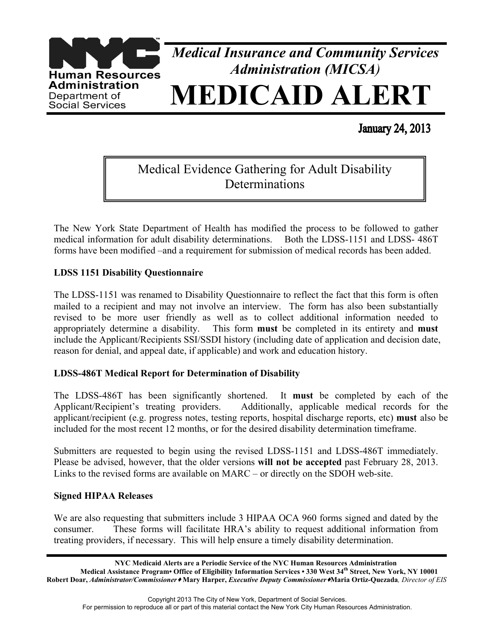

**January 24, 2013** 

# Medical Evidence Gathering for Adult Disability **Determinations**

The New York State Department of Health has modified the process to be followed to gather medical information for adult disability determinations. Both the LDSS-1151 and LDSS- 486T forms have been modified –and a requirement for submission of medical records has been added.

## **LDSS 1151 Disability Questionnaire**

The LDSS-1151 was renamed to Disability Questionnaire to reflect the fact that this form is often mailed to a recipient and may not involve an interview. The form has also been substantially revised to be more user friendly as well as to collect additional information needed to appropriately determine a disability. This form **must** be completed in its entirety and **must** include the Applicant/Recipients SSI/SSDI history (including date of application and decision date, reason for denial, and appeal date, if applicable) and work and education history.

## **LDSS-486T Medical Report for Determination of Disability**

The LDSS-486T has been significantly shortened. It **must** be completed by each of the Applicant/Recipient's treating providers. Additionally, applicable medical records for the applicant/recipient (e.g. progress notes, testing reports, hospital discharge reports, etc) **must** also be included for the most recent 12 months, or for the desired disability determination timeframe.

Submitters are requested to begin using the revised LDSS-1151 and LDSS-486T immediately. Please be advised, however, that the older versions **will not be accepted** past February 28, 2013. Links to the revised forms are available on MARC – or directly on the SDOH web-site.

### **Signed HIPAA Releases**

We are also requesting that submitters include 3 HIPAA OCA 960 forms signed and dated by the consumer. These forms will facilitate HRA's ability to request additional information from treating providers, if necessary. This will help ensure a timely disability determination.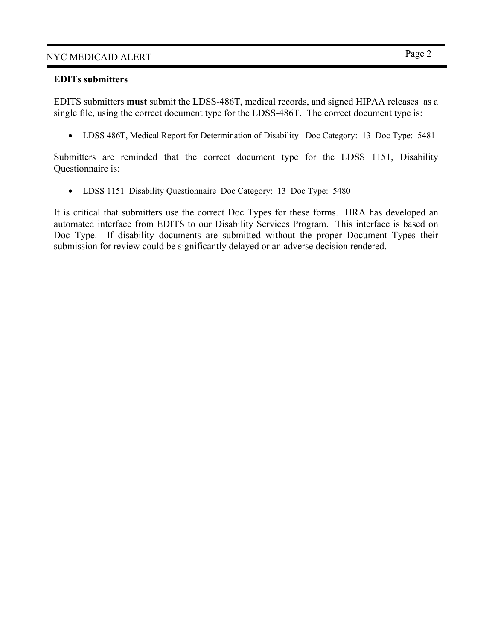## NYC MEDICAID ALERT Page 2

### **EDITs submitters**

EDITS submitters **must** submit the LDSS-486T, medical records, and signed HIPAA releases as a single file, using the correct document type for the LDSS-486T. The correct document type is:

• LDSS 486T, Medical Report for Determination of Disability Doc Category: 13 Doc Type: 5481

Submitters are reminded that the correct document type for the LDSS 1151, Disability Questionnaire is:

• LDSS 1151 Disability Questionnaire Doc Category: 13 Doc Type: 5480

It is critical that submitters use the correct Doc Types for these forms. HRA has developed an automated interface from EDITS to our Disability Services Program. This interface is based on Doc Type. If disability documents are submitted without the proper Document Types their submission for review could be significantly delayed or an adverse decision rendered.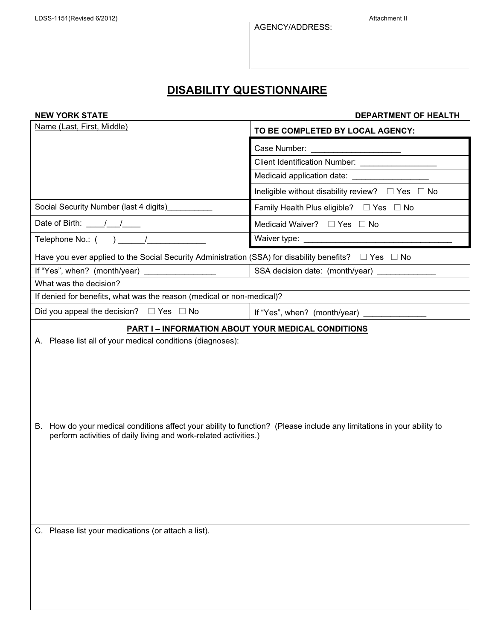AGENCY/ADDRESS:

# **DISABILITY QUESTIONNAIRE**

|  | <b>NEW YORK STATE</b> |
|--|-----------------------|
|  |                       |

#### **NEPARTMENT OF HEALTH**

| TO BE COMPLETED BY LOCAL AGENCY:                                                                                                                                                                                                                                                                                        |  |  |  |
|-------------------------------------------------------------------------------------------------------------------------------------------------------------------------------------------------------------------------------------------------------------------------------------------------------------------------|--|--|--|
|                                                                                                                                                                                                                                                                                                                         |  |  |  |
| Client Identification Number: _____________________                                                                                                                                                                                                                                                                     |  |  |  |
| Medicaid application date: ____________________                                                                                                                                                                                                                                                                         |  |  |  |
| Ineligible without disability review? $\Box$ Yes $\Box$ No                                                                                                                                                                                                                                                              |  |  |  |
| Family Health Plus eligible? $\Box$ Yes $\Box$ No                                                                                                                                                                                                                                                                       |  |  |  |
| Medicaid Waiver? □ Yes □ No                                                                                                                                                                                                                                                                                             |  |  |  |
|                                                                                                                                                                                                                                                                                                                         |  |  |  |
| Have you ever applied to the Social Security Administration (SSA) for disability benefits? □ Yes □ No                                                                                                                                                                                                                   |  |  |  |
| SSA decision date: (month/year)                                                                                                                                                                                                                                                                                         |  |  |  |
|                                                                                                                                                                                                                                                                                                                         |  |  |  |
| If denied for benefits, what was the reason (medical or non-medical)?                                                                                                                                                                                                                                                   |  |  |  |
| If "Yes", when? (month/year) _______________                                                                                                                                                                                                                                                                            |  |  |  |
| <b>PART I - INFORMATION ABOUT YOUR MEDICAL CONDITIONS</b><br>A. Please list all of your medical conditions (diagnoses):<br>How do your medical conditions affect your ability to function? (Please include any limitations in your ability to<br>B.<br>perform activities of daily living and work-related activities.) |  |  |  |
|                                                                                                                                                                                                                                                                                                                         |  |  |  |
|                                                                                                                                                                                                                                                                                                                         |  |  |  |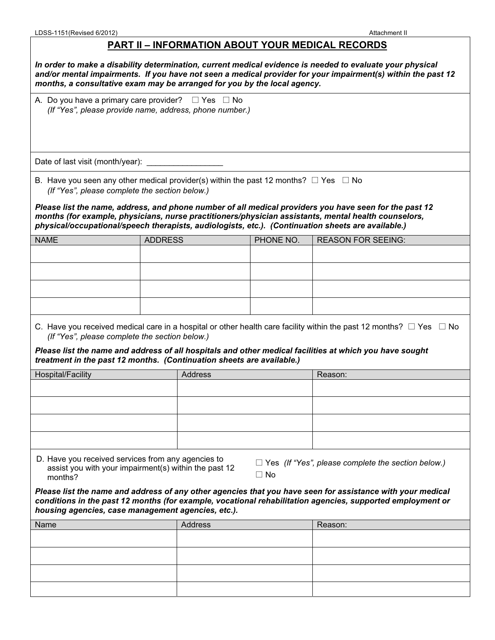## **PART II – INFORMATION ABOUT YOUR MEDICAL RECORDS**

| In order to make a disability determination, current medical evidence is needed to evaluate your physical<br>and/or mental impairments. If you have not seen a medical provider for your impairment(s) within the past 12<br>months, a consultative exam may be arranged for you by the local agency. |                                                         |           |                                                                                                                                                                                                                                          |  |  |
|-------------------------------------------------------------------------------------------------------------------------------------------------------------------------------------------------------------------------------------------------------------------------------------------------------|---------------------------------------------------------|-----------|------------------------------------------------------------------------------------------------------------------------------------------------------------------------------------------------------------------------------------------|--|--|
| A. Do you have a primary care provider? $\Box$ Yes $\Box$ No                                                                                                                                                                                                                                          | (If "Yes", please provide name, address, phone number.) |           |                                                                                                                                                                                                                                          |  |  |
| Date of last visit (month/year): _                                                                                                                                                                                                                                                                    |                                                         |           |                                                                                                                                                                                                                                          |  |  |
| B. Have you seen any other medical provider(s) within the past 12 months? $\square$ Yes $\square$ No<br>(If "Yes", please complete the section below.)                                                                                                                                                |                                                         |           | Please list the name, address, and phone number of all medical providers you have seen for the past 12<br>months (for example, physicians, nurse practitioners/physician assistants, mental health counselors,                           |  |  |
| physical/occupational/speech therapists, audiologists, etc.). (Continuation sheets are available.)<br><b>NAME</b>                                                                                                                                                                                     |                                                         |           |                                                                                                                                                                                                                                          |  |  |
|                                                                                                                                                                                                                                                                                                       | <b>ADDRESS</b>                                          | PHONE NO. | <b>REASON FOR SEEING:</b>                                                                                                                                                                                                                |  |  |
|                                                                                                                                                                                                                                                                                                       |                                                         |           |                                                                                                                                                                                                                                          |  |  |
|                                                                                                                                                                                                                                                                                                       |                                                         |           |                                                                                                                                                                                                                                          |  |  |
|                                                                                                                                                                                                                                                                                                       |                                                         |           |                                                                                                                                                                                                                                          |  |  |
| (If "Yes", please complete the section below.)                                                                                                                                                                                                                                                        |                                                         |           | C. Have you received medical care in a hospital or other health care facility within the past 12 months? $\Box$ Yes $\Box$ No<br>Please list the name and address of all hospitals and other medical facilities at which you have sought |  |  |
| treatment in the past 12 months. (Continuation sheets are available.)<br>Hospital/Facility                                                                                                                                                                                                            | Address                                                 |           | Reason:                                                                                                                                                                                                                                  |  |  |
|                                                                                                                                                                                                                                                                                                       |                                                         |           |                                                                                                                                                                                                                                          |  |  |
|                                                                                                                                                                                                                                                                                                       |                                                         |           |                                                                                                                                                                                                                                          |  |  |
|                                                                                                                                                                                                                                                                                                       |                                                         |           |                                                                                                                                                                                                                                          |  |  |
|                                                                                                                                                                                                                                                                                                       |                                                         |           |                                                                                                                                                                                                                                          |  |  |
| D. Have you received services from any agencies to<br>$\Box$ Yes (If "Yes", please complete the section below.)<br>assist you with your impairment(s) within the past 12<br>$\Box$ No<br>months?                                                                                                      |                                                         |           |                                                                                                                                                                                                                                          |  |  |
| housing agencies, case management agencies, etc.).                                                                                                                                                                                                                                                    |                                                         |           | Please list the name and address of any other agencies that you have seen for assistance with your medical<br>conditions in the past 12 months (for example, vocational rehabilitation agencies, supported employment or                 |  |  |
| Name                                                                                                                                                                                                                                                                                                  | <b>Address</b>                                          |           | Reason:                                                                                                                                                                                                                                  |  |  |
|                                                                                                                                                                                                                                                                                                       |                                                         |           |                                                                                                                                                                                                                                          |  |  |
|                                                                                                                                                                                                                                                                                                       |                                                         |           |                                                                                                                                                                                                                                          |  |  |
|                                                                                                                                                                                                                                                                                                       |                                                         |           |                                                                                                                                                                                                                                          |  |  |
|                                                                                                                                                                                                                                                                                                       |                                                         |           |                                                                                                                                                                                                                                          |  |  |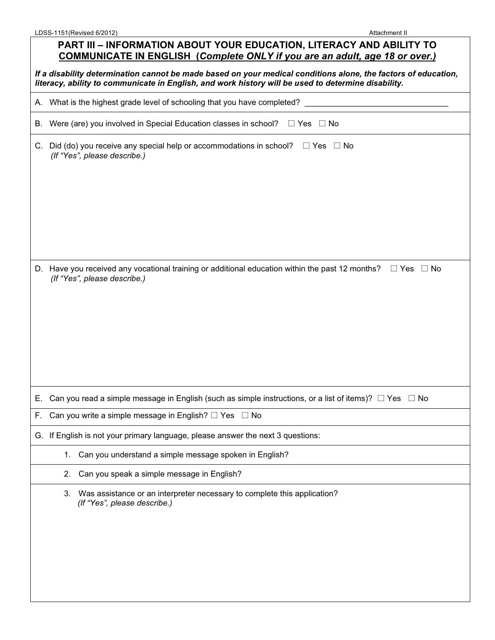## **PART III – INFORMATION ABOUT YOUR EDUCATION, LITERACY AND ABILITY TO COMMUNICATE IN ENGLISH (***Complete ONLY if you are an adult, age 18 or over.)*

*If a disability determination cannot be made based on your medical conditions alone, the factors of education, literacy, ability to communicate in English, and work history will be used to determine disability.* 

|    | A. What is the highest grade level of schooling that you have completed?                                                                                |
|----|---------------------------------------------------------------------------------------------------------------------------------------------------------|
|    | B. Were (are) you involved in Special Education classes in school?<br>$\Box$ Yes $\Box$ No                                                              |
|    | C. Did (do) you receive any special help or accommodations in school?<br>$\Box$ Yes $\Box$ No<br>(If "Yes", please describe.)                           |
|    | D. Have you received any vocational training or additional education within the past 12 months?<br>$\Box$ Yes $\Box$ No<br>(If "Yes", please describe.) |
| Е. | Can you read a simple message in English (such as simple instructions, or a list of items)? $\Box$ Yes $\Box$ No                                        |
| F. | Can you write a simple message in English? $\Box$ Yes $\Box$ No                                                                                         |
|    | G. If English is not your primary language, please answer the next 3 questions:                                                                         |
|    | 1. Can you understand a simple message spoken in English?                                                                                               |
|    | Can you speak a simple message in English?<br>2.                                                                                                        |
|    | Was assistance or an interpreter necessary to complete this application?<br>3.<br>(If "Yes", please describe.)                                          |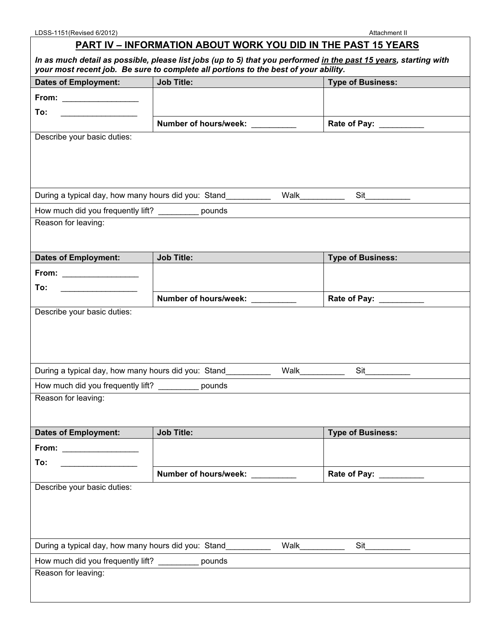## **PART IV – INFORMATION ABOUT WORK YOU DID IN THE PAST 15 YEARS**

| In as much detail as possible, please list jobs (up to 5) that you performed in the past 15 years, starting with<br>your most recent job. Be sure to complete all portions to the best of your ability. |                                                     |                 |                            |  |
|---------------------------------------------------------------------------------------------------------------------------------------------------------------------------------------------------------|-----------------------------------------------------|-----------------|----------------------------|--|
| <b>Dates of Employment:</b>                                                                                                                                                                             | <b>Job Title:</b>                                   |                 | <b>Type of Business:</b>   |  |
|                                                                                                                                                                                                         |                                                     |                 |                            |  |
| To:                                                                                                                                                                                                     |                                                     |                 |                            |  |
|                                                                                                                                                                                                         | Number of hours/week: Number                        |                 | Rate of Pay: __________    |  |
| Describe your basic duties:                                                                                                                                                                             |                                                     |                 |                            |  |
|                                                                                                                                                                                                         |                                                     |                 |                            |  |
|                                                                                                                                                                                                         |                                                     |                 |                            |  |
|                                                                                                                                                                                                         |                                                     |                 |                            |  |
|                                                                                                                                                                                                         | During a typical day, how many hours did you: Stand | Walk___________ |                            |  |
| How much did you frequently lift? ___________ pounds                                                                                                                                                    |                                                     |                 |                            |  |
| Reason for leaving:                                                                                                                                                                                     |                                                     |                 |                            |  |
|                                                                                                                                                                                                         |                                                     |                 |                            |  |
| <b>Dates of Employment:</b>                                                                                                                                                                             | <b>Job Title:</b>                                   |                 | <b>Type of Business:</b>   |  |
|                                                                                                                                                                                                         |                                                     |                 |                            |  |
| From: ________________                                                                                                                                                                                  |                                                     |                 |                            |  |
| To:                                                                                                                                                                                                     | Number of hours/week: Number of hours               |                 | Rate of Pay:               |  |
| Describe your basic duties:                                                                                                                                                                             |                                                     |                 |                            |  |
|                                                                                                                                                                                                         |                                                     |                 |                            |  |
|                                                                                                                                                                                                         |                                                     |                 |                            |  |
|                                                                                                                                                                                                         |                                                     |                 |                            |  |
|                                                                                                                                                                                                         | During a typical day, how many hours did you: Stand | Walk            | Sit                        |  |
| How much did you frequently lift? __________ pounds                                                                                                                                                     |                                                     |                 |                            |  |
| Reason for leaving:                                                                                                                                                                                     |                                                     |                 |                            |  |
|                                                                                                                                                                                                         |                                                     |                 |                            |  |
| <b>Dates of Employment:</b>                                                                                                                                                                             | <b>Job Title:</b>                                   |                 | <b>Type of Business:</b>   |  |
| From: __________________                                                                                                                                                                                |                                                     |                 |                            |  |
| To:                                                                                                                                                                                                     |                                                     |                 |                            |  |
|                                                                                                                                                                                                         | Number of hours/week:                               |                 | Rate of Pay: National Pays |  |
| Describe your basic duties:                                                                                                                                                                             |                                                     |                 |                            |  |
|                                                                                                                                                                                                         |                                                     |                 |                            |  |
|                                                                                                                                                                                                         |                                                     |                 |                            |  |
|                                                                                                                                                                                                         |                                                     |                 |                            |  |
| During a typical day, how many hours did you: Stand                                                                                                                                                     |                                                     | Walk            | Sit                        |  |
| How much did you frequently lift? __________ pounds                                                                                                                                                     |                                                     |                 |                            |  |
| Reason for leaving:                                                                                                                                                                                     |                                                     |                 |                            |  |
|                                                                                                                                                                                                         |                                                     |                 |                            |  |
|                                                                                                                                                                                                         |                                                     |                 |                            |  |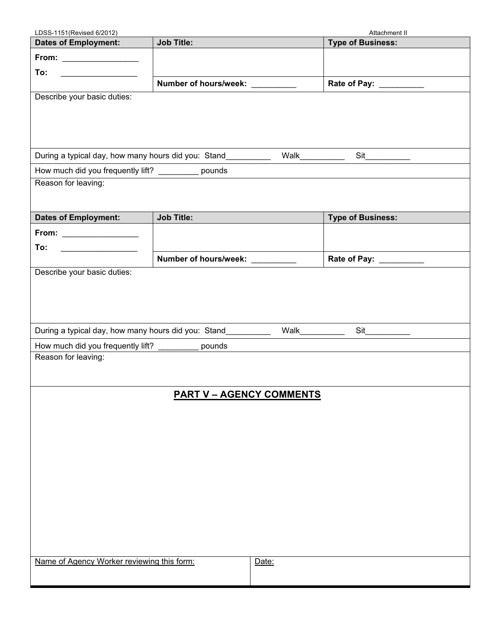| LDSS-1151(Revised 6/2012)                                                  |                                 | Attachment II            |
|----------------------------------------------------------------------------|---------------------------------|--------------------------|
| <b>Dates of Employment:</b>                                                | <b>Job Title:</b>               | <b>Type of Business:</b> |
|                                                                            |                                 |                          |
| To:<br><u> 1986 - Johann Barnett, fransk konge</u>                         |                                 |                          |
|                                                                            | Number of hours/week: _________ | Rate of Pay: _________   |
| Describe your basic duties:                                                |                                 |                          |
|                                                                            |                                 |                          |
|                                                                            |                                 |                          |
|                                                                            |                                 |                          |
| During a typical day, how many hours did you: Stand                        | Walk____                        | Sit                      |
|                                                                            |                                 |                          |
| How much did you frequently lift? __________ pounds<br>Reason for leaving: |                                 |                          |
|                                                                            |                                 |                          |
|                                                                            |                                 |                          |
| <b>Dates of Employment:</b>                                                | <b>Job Title:</b>               | <b>Type of Business:</b> |
| From: _________________                                                    |                                 |                          |
| To:                                                                        |                                 |                          |
|                                                                            | Number of hours/week: Number    | Rate of Pay: _________   |
| Describe your basic duties:                                                |                                 |                          |
|                                                                            |                                 |                          |
|                                                                            |                                 |                          |
|                                                                            |                                 |                          |
|                                                                            |                                 |                          |
| During a typical day, how many hours did you: Stand                        | Walk                            | Sit                      |
| How much did you frequently lift?                                          | pounds                          |                          |
| Reason for leaving:                                                        |                                 |                          |
|                                                                            |                                 |                          |
|                                                                            |                                 |                          |
|                                                                            | <b>PART V - AGENCY COMMENTS</b> |                          |
|                                                                            |                                 |                          |
|                                                                            |                                 |                          |
|                                                                            |                                 |                          |
|                                                                            |                                 |                          |
|                                                                            |                                 |                          |
|                                                                            |                                 |                          |
|                                                                            |                                 |                          |
|                                                                            |                                 |                          |
|                                                                            |                                 |                          |
|                                                                            |                                 |                          |
|                                                                            |                                 |                          |
|                                                                            |                                 |                          |
| Name of Agency Worker reviewing this form:                                 | Date:                           |                          |
|                                                                            |                                 |                          |
|                                                                            |                                 |                          |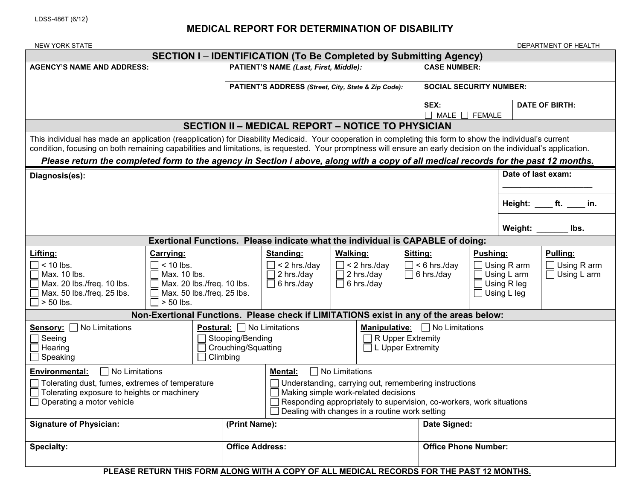## **MEDICAL REPORT FOR DETERMINATION OF DISABILITY**

| <b>NEW YORK STATE</b>                                                                                                                                                                                                                                                                                                                                                                                                                                                 |                                                                                                                          |                                                              |                                                                              |                 |                                                   |          |                                                            |          |                                                                        | DEPARTMENT OF HEALTH                                 |
|-----------------------------------------------------------------------------------------------------------------------------------------------------------------------------------------------------------------------------------------------------------------------------------------------------------------------------------------------------------------------------------------------------------------------------------------------------------------------|--------------------------------------------------------------------------------------------------------------------------|--------------------------------------------------------------|------------------------------------------------------------------------------|-----------------|---------------------------------------------------|----------|------------------------------------------------------------|----------|------------------------------------------------------------------------|------------------------------------------------------|
| <b>SECTION I – IDENTIFICATION (To Be Completed by Submitting Agency)</b>                                                                                                                                                                                                                                                                                                                                                                                              |                                                                                                                          |                                                              |                                                                              |                 |                                                   |          |                                                            |          |                                                                        |                                                      |
| <b>AGENCY'S NAME AND ADDRESS:</b>                                                                                                                                                                                                                                                                                                                                                                                                                                     |                                                                                                                          | PATIENT'S NAME (Last, First, Middle):<br><b>CASE NUMBER:</b> |                                                                              |                 |                                                   |          |                                                            |          |                                                                        |                                                      |
|                                                                                                                                                                                                                                                                                                                                                                                                                                                                       |                                                                                                                          |                                                              | PATIENT'S ADDRESS (Street, City, State & Zip Code):                          |                 | <b>SOCIAL SECURITY NUMBER:</b>                    |          |                                                            |          |                                                                        |                                                      |
|                                                                                                                                                                                                                                                                                                                                                                                                                                                                       |                                                                                                                          |                                                              |                                                                              |                 |                                                   |          | SEX:<br><b>DATE OF BIRTH:</b><br>$\Box$ MALE $\Box$ FEMALE |          |                                                                        |                                                      |
|                                                                                                                                                                                                                                                                                                                                                                                                                                                                       |                                                                                                                          |                                                              | <b>SECTION II - MEDICAL REPORT - NOTICE TO PHYSICIAN</b>                     |                 |                                                   |          |                                                            |          |                                                                        |                                                      |
| This individual has made an application (reapplication) for Disability Medicaid. Your cooperation in completing this form to show the individual's current<br>condition, focusing on both remaining capabilities and limitations, is requested. Your promptness will ensure an early decision on the individual's application.<br>Please return the completed form to the agency in Section I above, along with a copy of all medical records for the past 12 months. |                                                                                                                          |                                                              |                                                                              |                 |                                                   |          |                                                            |          |                                                                        |                                                      |
| Diagnosis(es):                                                                                                                                                                                                                                                                                                                                                                                                                                                        |                                                                                                                          |                                                              |                                                                              |                 |                                                   |          |                                                            |          | Date of last exam:                                                     |                                                      |
|                                                                                                                                                                                                                                                                                                                                                                                                                                                                       |                                                                                                                          |                                                              |                                                                              |                 |                                                   |          |                                                            |          |                                                                        | Height: _____ ft. _____ in.                          |
|                                                                                                                                                                                                                                                                                                                                                                                                                                                                       |                                                                                                                          |                                                              |                                                                              |                 |                                                   |          |                                                            |          | Weight: _____                                                          | lbs.                                                 |
|                                                                                                                                                                                                                                                                                                                                                                                                                                                                       | Exertional Functions. Please indicate what the individual is CAPABLE of doing:                                           |                                                              |                                                                              |                 |                                                   |          |                                                            |          |                                                                        |                                                      |
| Lifting:<br>$\Box$ < 10 lbs.<br>Max. 10 lbs.<br>Max. 20 lbs./freq. 10 lbs.<br>Max. 50 lbs./freq. 25 lbs.<br>$\Box$ > 50 lbs.                                                                                                                                                                                                                                                                                                                                          | Carrying:<br>$< 10$ lbs.<br>Max. 10 lbs.<br>Max. 20 lbs./freq. 10 lbs.<br>Max. 50 lbs./freq. 25 lbs.<br>$\Box$ > 50 lbs. |                                                              | <b>Standing:</b><br>$<$ 2 hrs./day<br>$\Box$ 2 hrs./day<br>$\Box$ 6 hrs./day | <b>Walking:</b> | $<$ 2 hrs./day<br>$\Box$ 2 hrs./day<br>6 hrs./day | Sitting: | $\Box$ < 6 hrs./day<br>$\Box$ 6 hrs./day                   | Pushing: | Using R arm<br>$\Box$ Using L arm<br><b>Using R leg</b><br>Using L leg | Pulling:<br>$\Box$ Using R arm<br>$\Box$ Using L arm |
|                                                                                                                                                                                                                                                                                                                                                                                                                                                                       | Non-Exertional Functions. Please check if LIMITATIONS exist in any of the areas below:                                   |                                                              |                                                                              |                 |                                                   |          |                                                            |          |                                                                        |                                                      |
| Sensory: No Limitations<br><b>Postural:</b> $\Box$ No Limitations<br><b>Manipulative:</b> $\Box$ No Limitations<br>R Upper Extremity<br>Stooping/Bending<br>$\Box$ Seeing<br>Crouching/Squatting<br>$\Box$ L Upper Extremity<br>$\Box$ Hearing<br>$\Box$ Climbing<br>$\Box$ Speaking                                                                                                                                                                                  |                                                                                                                          |                                                              |                                                                              |                 |                                                   |          |                                                            |          |                                                                        |                                                      |
| $\Box$ No Limitations<br>$\Box$ No Limitations<br><b>Environmental:</b><br>Mental:<br>Tolerating dust, fumes, extremes of temperature<br>$\Box$ Understanding, carrying out, remembering instructions<br>Making simple work-related decisions<br>Tolerating exposure to heights or machinery<br>Operating a motor vehicle<br>Responding appropriately to supervision, co-workers, work situations<br>□ Dealing with changes in a routine work setting                 |                                                                                                                          |                                                              |                                                                              |                 |                                                   |          |                                                            |          |                                                                        |                                                      |
| <b>Signature of Physician:</b>                                                                                                                                                                                                                                                                                                                                                                                                                                        |                                                                                                                          | (Print Name):                                                |                                                                              |                 |                                                   |          | Date Signed:                                               |          |                                                                        |                                                      |
| <b>Specialty:</b>                                                                                                                                                                                                                                                                                                                                                                                                                                                     |                                                                                                                          | <b>Office Address:</b><br><b>Office Phone Number:</b>        |                                                                              |                 |                                                   |          |                                                            |          |                                                                        |                                                      |
|                                                                                                                                                                                                                                                                                                                                                                                                                                                                       | DI EASE DETIIDN TUIS EODM ALONG WITH A CODV OF ALL MEDICAL DECODDS EOD THE DAST 49 MONTHS                                |                                                              |                                                                              |                 |                                                   |          |                                                            |          |                                                                        |                                                      |

**PLEASE RETURN THIS FORM ALONG WITH A COPY OF ALL MEDICAL RECORDS FOR THE PAST 12 MONTHS.**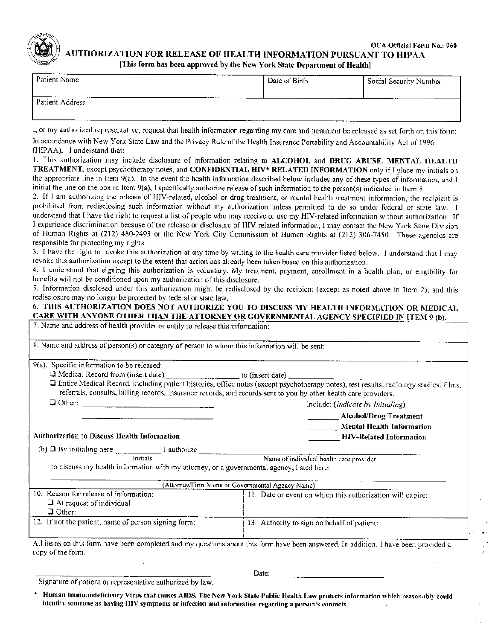

OCA Official Form No.: 960 **AUTHORIZATION FOR RELEASE OF HEALTH INFORMATION PURSUANT TO HIPAA** 

[This form has been approved by the New York State Department of Health]

| Patient Name              | Date of Birth | Social Security Number |
|---------------------------|---------------|------------------------|
| ------<br>Patient Address |               |                        |

I, or my authorized representative, request that health information regarding my care and treatment be released as set forth on this form:

In accordance with New York State Law and the Privacy Rule of the Health Insurance Portability and Accountability Act of 1996 (HIPAA), I understand that:

1. This authorization may include disclosure of information relating to ALCOHOL and DRUG ABUSE, MENTAL HEALTH TREATMENT, except psychotherapy notes, and CONFIDENTIAL HIV\* RELATED INFORMATION only if I place my initials on the appropriate line in Item 9(a). In the event the health information described below includes any of these types of information, and I initial the line on the box in Item 9(a), I specifically authorize release of such information to the person(s) indicated in Item 8.

2. If I am authorizing the release of HIV-related, alcohol or drug treatment, or mental health treatment information, the recipient is prohibited from redisclosing such information without my authorization unless permitted to do so under federal or state law. I understand that I have the right to request a list of people who may receive or use my HIV-related information without authorization. If I experience discrimination because of the release or disclosure of HIV-related information, I may contact the New York State Division of Human Rights at (212) 480-2493 or the New York City Commission of Human Rights at (212) 306-7450. These agencics are responsible for protecting my rights.

3. I have the right to revoke this authorization at any time by writing to the health care provider listed below. I understand that I may revoke this authorization except to the extent that action has already been taken based on this authorization.

4. I understand that signing this authorization is voluntary. My treatment, payment, enrollment in a health plan, or eligibility for benefits will not be conditioned upon my authorization of this disclosure.

5. Information disclosed under this authorization might be redisclosed by the recipient (except as noted above in Item 2), and this redisclosure may no longer be protected by federal or state law.

#### 6. THIS AUTHORIZATION DOES NOT AUTHORIZE YOU TO DISCUSS MY HEALTH INFORMATION OR MEDICAL CARE WITH ANYONE OTHER THAN THE ATTORNEY OR GOVERNMENTAL AGENCY SPECIFIED IN ITEM 9 (b).

| 7. Name and address of health provider or entity to release this information: |  |
|-------------------------------------------------------------------------------|--|
|-------------------------------------------------------------------------------|--|

| 8. Name and address of person(s) or category of person to whom this information will be sent:                    |                                                                                                                                          |  |  |
|------------------------------------------------------------------------------------------------------------------|------------------------------------------------------------------------------------------------------------------------------------------|--|--|
|                                                                                                                  |                                                                                                                                          |  |  |
| 9(a). Specific information to be released:                                                                       |                                                                                                                                          |  |  |
|                                                                                                                  |                                                                                                                                          |  |  |
| referrals, consults, billing records, insurance records, and records sent to you by other health care providers. | □ Entire Medical Record, including patient histories, office notes (except psychotherapy notes), test results, radiology studies, films, |  |  |
| Include: ( <i>Indicate by Initialing</i> )                                                                       |                                                                                                                                          |  |  |
|                                                                                                                  | <b>Alcohol/Drug Treatment</b>                                                                                                            |  |  |
|                                                                                                                  | <b>Mental Health Information</b>                                                                                                         |  |  |
| Authorization to Discuss Health Information                                                                      | <b>HIV-Related Information</b>                                                                                                           |  |  |
| (b) $\Box$ By initialing here $\Box$ I authorize $\Box$ Name of individual health care provider                  |                                                                                                                                          |  |  |
|                                                                                                                  |                                                                                                                                          |  |  |
| to discuss my health information with my attorney, or a governmental agency, listed here:                        |                                                                                                                                          |  |  |
|                                                                                                                  | (Attorney/Firm Name or Governmental Agency Name)                                                                                         |  |  |
| 10. Reason for release of information:                                                                           | 11. Date or event on which this authorization will expire:                                                                               |  |  |
| $\Box$ At request of individual                                                                                  |                                                                                                                                          |  |  |
| $\Box$ Other:                                                                                                    |                                                                                                                                          |  |  |
| 12. If not the patient, name of person signing form:                                                             | 13. Authority to sign on behalf of patient:                                                                                              |  |  |
|                                                                                                                  |                                                                                                                                          |  |  |
| copy of the form.                                                                                                | All items on this form have been completed and my questions about this form have been answered. In addition, I have been provided a      |  |  |
|                                                                                                                  |                                                                                                                                          |  |  |
|                                                                                                                  | $D$ atar                                                                                                                                 |  |  |

Signature of patient or representative authorized by law.

Human Immunodeficiency Virus that causes AIDS. The New York State Public Health Law protects information which reasonably could identify someone as having HIV symptoms or infection and information regarding a person's contacts.